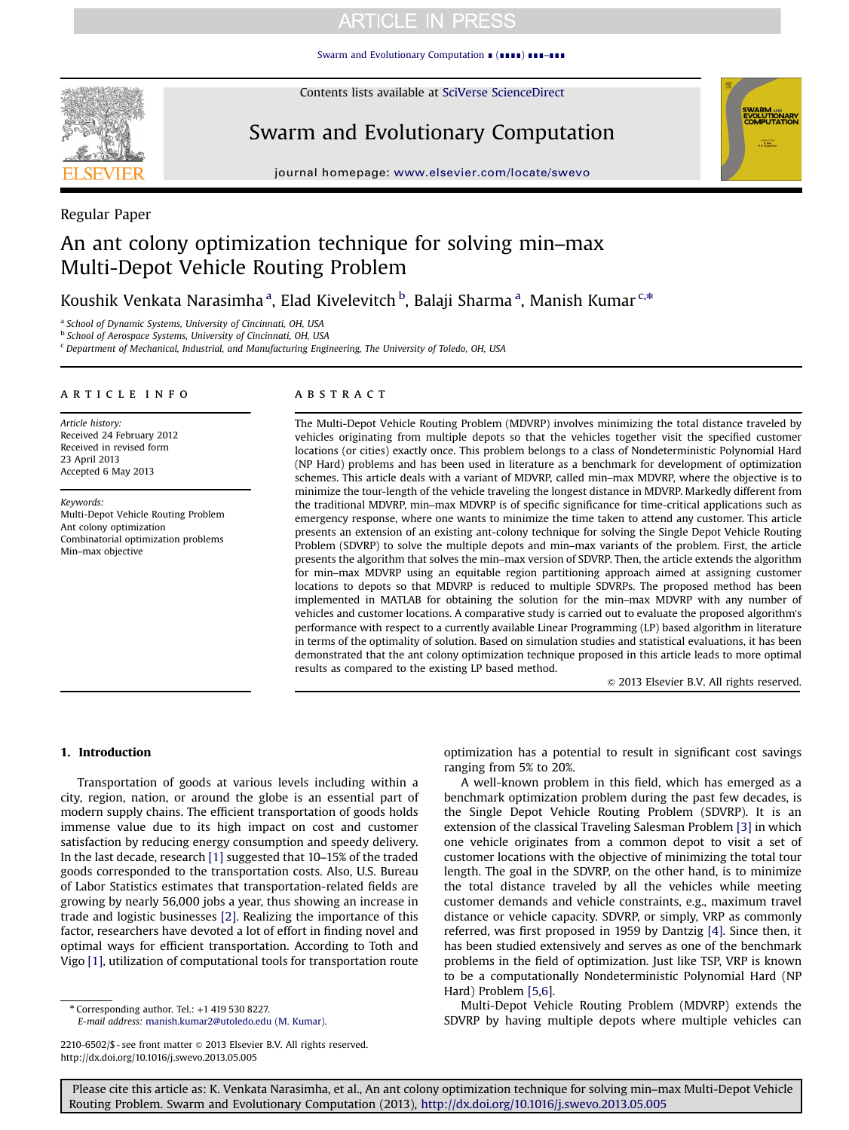### **ARTICLE IN PRESS**

[Swarm and Evolutionary Computation](http://dx.doi.org/10.1016/j.swevo.2013.05.005) ∎ (∎∎∎∎) ∎∎∎–∎∎∎



Regular Paper

Contents lists available at SciVerse ScienceDirect

### Swarm and Evolutionary Computation



journal homepage: <www.elsevier.com/locate/swevo>kol/locate/swevokol/locate/swevokol/locate/swevokol/locate/swevokol/locate/swevokol/locate/swevokol/locate/swevokol/locate/swevokol/locate/swevokol/locate/swevokol/locate/swe

## An ant colony optimization technique for solving min–max Multi-Depot Vehicle Routing Problem

Koushik Venkata Narasimha <sup>a</sup>, Elad Kivelevitch <sup>b</sup>, Balaji Sharma <sup>a</sup>, Manish Kumar <sup>c,</sup>\*

<sup>a</sup> School of Dynamic Systems, University of Cincinnati, OH, USA

**b School of Aerospace Systems, University of Cincinnati, OH, USA** 

<sup>c</sup> Department of Mechanical, Industrial, and Manufacturing Engineering, The University of Toledo, OH, USA

#### article info

Article history: Received 24 February 2012 Received in revised form 23 April 2013 Accepted 6 May 2013

Keywords: Multi-Depot Vehicle Routing Problem Ant colony optimization Combinatorial optimization problems Min–max objective

### **ABSTRACT**

The Multi-Depot Vehicle Routing Problem (MDVRP) involves minimizing the total distance traveled by vehicles originating from multiple depots so that the vehicles together visit the specified customer locations (or cities) exactly once. This problem belongs to a class of Nondeterministic Polynomial Hard (NP Hard) problems and has been used in literature as a benchmark for development of optimization schemes. This article deals with a variant of MDVRP, called min–max MDVRP, where the objective is to minimize the tour-length of the vehicle traveling the longest distance in MDVRP. Markedly different from the traditional MDVRP, min–max MDVRP is of specific significance for time-critical applications such as emergency response, where one wants to minimize the time taken to attend any customer. This article presents an extension of an existing ant-colony technique for solving the Single Depot Vehicle Routing Problem (SDVRP) to solve the multiple depots and min–max variants of the problem. First, the article presents the algorithm that solves the min–max version of SDVRP. Then, the article extends the algorithm for min–max MDVRP using an equitable region partitioning approach aimed at assigning customer locations to depots so that MDVRP is reduced to multiple SDVRPs. The proposed method has been implemented in MATLAB for obtaining the solution for the min–max MDVRP with any number of vehicles and customer locations. A comparative study is carried out to evaluate the proposed algorithm's performance with respect to a currently available Linear Programming (LP) based algorithm in literature in terms of the optimality of solution. Based on simulation studies and statistical evaluations, it has been demonstrated that the ant colony optimization technique proposed in this article leads to more optimal results as compared to the existing LP based method.

 $©$  2013 Elsevier B.V. All rights reserved.

#### 1. Introduction

Transportation of goods at various levels including within a city, region, nation, or around the globe is an essential part of modern supply chains. The efficient transportation of goods holds immense value due to its high impact on cost and customer satisfaction by reducing energy consumption and speedy delivery. In the last decade, research [\[1\]](#page--1-0) suggested that 10–15% of the traded goods corresponded to the transportation costs. Also, U.S. Bureau of Labor Statistics estimates that transportation-related fields are growing by nearly 56,000 jobs a year, thus showing an increase in trade and logistic businesses [\[2\].](#page--1-0) Realizing the importance of this factor, researchers have devoted a lot of effort in finding novel and optimal ways for efficient transportation. According to Toth and Vigo [\[1\]](#page--1-0), utilization of computational tools for transportation route

<sup>n</sup> Corresponding author. Tel.: +1 419 530 8227. E-mail address: [manish.kumar2@utoledo.edu \(M. Kumar\).](mailto:manish.kumar2@utoledo.edu)

2210-6502/\$ - see front matter @ 2013 Elsevier B.V. All rights reserved. <http://dx.doi.org/10.1016/j.swevo.2013.05.005>

optimization has a potential to result in significant cost savings ranging from 5% to 20%.

A well-known problem in this field, which has emerged as a benchmark optimization problem during the past few decades, is the Single Depot Vehicle Routing Problem (SDVRP). It is an extension of the classical Traveling Salesman Problem [\[3\]](#page--1-0) in which one vehicle originates from a common depot to visit a set of customer locations with the objective of minimizing the total tour length. The goal in the SDVRP, on the other hand, is to minimize the total distance traveled by all the vehicles while meeting customer demands and vehicle constraints, e.g., maximum travel distance or vehicle capacity. SDVRP, or simply, VRP as commonly referred, was first proposed in 1959 by Dantzig [\[4\]](#page--1-0). Since then, it has been studied extensively and serves as one of the benchmark problems in the field of optimization. Just like TSP, VRP is known to be a computationally Nondeterministic Polynomial Hard (NP Hard) Problem [\[5](#page--1-0),[6\]](#page--1-0).

Multi-Depot Vehicle Routing Problem (MDVRP) extends the SDVRP by having multiple depots where multiple vehicles can

iPlease cite this article as: K. Venkata Narasimha, et al., An ant colony optimization technique for solving min–max Multi-Depot Vehicle Routing Problem. Swarm and Evolutionary Computation (2013), <http://dx.doi.org/10.1016/j.swevo.2013.05.005>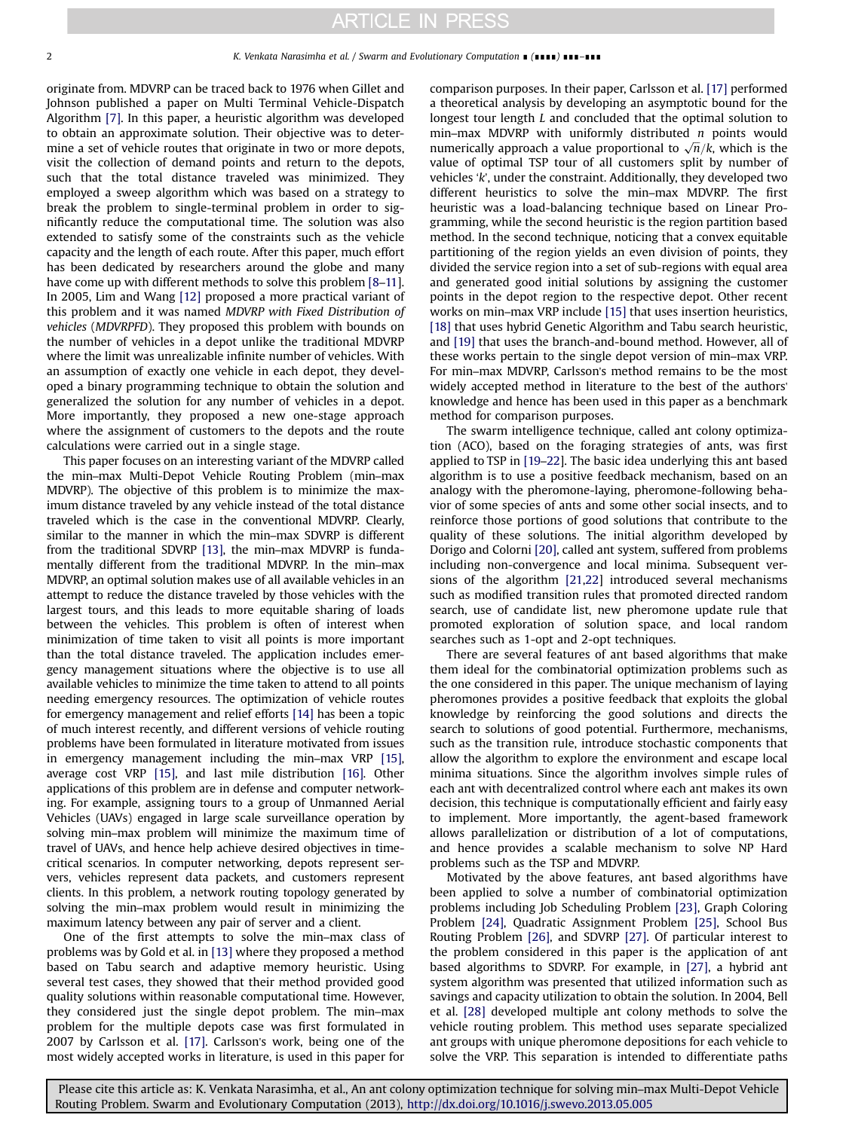originate from. MDVRP can be traced back to 1976 when Gillet and Johnson published a paper on Multi Terminal Vehicle-Dispatch Algorithm [\[7\].](#page--1-0) In this paper, a heuristic algorithm was developed to obtain an approximate solution. Their objective was to determine a set of vehicle routes that originate in two or more depots, visit the collection of demand points and return to the depots, such that the total distance traveled was minimized. They employed a sweep algorithm which was based on a strategy to break the problem to single-terminal problem in order to significantly reduce the computational time. The solution was also extended to satisfy some of the constraints such as the vehicle capacity and the length of each route. After this paper, much effort has been dedicated by researchers around the globe and many have come up with different methods to solve this problem [\[8](#page--1-0)–[11\]](#page--1-0). In 2005, Lim and Wang [\[12\]](#page--1-0) proposed a more practical variant of this problem and it was named MDVRP with Fixed Distribution of vehicles (MDVRPFD). They proposed this problem with bounds on the number of vehicles in a depot unlike the traditional MDVRP where the limit was unrealizable infinite number of vehicles. With an assumption of exactly one vehicle in each depot, they developed a binary programming technique to obtain the solution and generalized the solution for any number of vehicles in a depot. More importantly, they proposed a new one-stage approach where the assignment of customers to the depots and the route calculations were carried out in a single stage.

This paper focuses on an interesting variant of the MDVRP called the min–max Multi-Depot Vehicle Routing Problem (min–max MDVRP). The objective of this problem is to minimize the maximum distance traveled by any vehicle instead of the total distance traveled which is the case in the conventional MDVRP. Clearly, similar to the manner in which the min–max SDVRP is different from the traditional SDVRP [\[13\]](#page--1-0), the min–max MDVRP is fundamentally different from the traditional MDVRP. In the min–max MDVRP, an optimal solution makes use of all available vehicles in an attempt to reduce the distance traveled by those vehicles with the largest tours, and this leads to more equitable sharing of loads between the vehicles. This problem is often of interest when minimization of time taken to visit all points is more important than the total distance traveled. The application includes emergency management situations where the objective is to use all available vehicles to minimize the time taken to attend to all points needing emergency resources. The optimization of vehicle routes for emergency management and relief efforts [\[14\]](#page--1-0) has been a topic of much interest recently, and different versions of vehicle routing problems have been formulated in literature motivated from issues in emergency management including the min–max VRP [\[15\],](#page--1-0) average cost VRP [\[15\],](#page--1-0) and last mile distribution [\[16\].](#page--1-0) Other applications of this problem are in defense and computer networking. For example, assigning tours to a group of Unmanned Aerial Vehicles (UAVs) engaged in large scale surveillance operation by solving min–max problem will minimize the maximum time of travel of UAVs, and hence help achieve desired objectives in timecritical scenarios. In computer networking, depots represent servers, vehicles represent data packets, and customers represent clients. In this problem, a network routing topology generated by solving the min–max problem would result in minimizing the maximum latency between any pair of server and a client.

One of the first attempts to solve the min–max class of problems was by Gold et al. in [\[13\]](#page--1-0) where they proposed a method based on Tabu search and adaptive memory heuristic. Using several test cases, they showed that their method provided good quality solutions within reasonable computational time. However, they considered just the single depot problem. The min–max problem for the multiple depots case was first formulated in 2007 by Carlsson et al. [\[17\].](#page--1-0) Carlsson's work, being one of the most widely accepted works in literature, is used in this paper for

comparison purposes. In their paper, Carlsson et al. [\[17\]](#page--1-0) performed a theoretical analysis by developing an asymptotic bound for the longest tour length L and concluded that the optimal solution to min–max MDVRP with uniformly distributed  $n$  points would numerically approach a value proportional to  $\sqrt{n}/k$ , which is the value of optimal TSP tour of all customers split by number of vehicles 'k', under the constraint. Additionally, they developed two different heuristics to solve the min–max MDVRP. The first heuristic was a load-balancing technique based on Linear Programming, while the second heuristic is the region partition based method. In the second technique, noticing that a convex equitable partitioning of the region yields an even division of points, they divided the service region into a set of sub-regions with equal area and generated good initial solutions by assigning the customer points in the depot region to the respective depot. Other recent works on min–max VRP include [\[15\]](#page--1-0) that uses insertion heuristics, [\[18\]](#page--1-0) that uses hybrid Genetic Algorithm and Tabu search heuristic, and [\[19\]](#page--1-0) that uses the branch-and-bound method. However, all of these works pertain to the single depot version of min–max VRP. For min–max MDVRP, Carlsson's method remains to be the most widely accepted method in literature to the best of the authors' knowledge and hence has been used in this paper as a benchmark method for comparison purposes.

The swarm intelligence technique, called ant colony optimization (ACO), based on the foraging strategies of ants, was first applied to TSP in [\[19](#page--1-0)–[22](#page--1-0)]. The basic idea underlying this ant based algorithm is to use a positive feedback mechanism, based on an analogy with the pheromone-laying, pheromone-following behavior of some species of ants and some other social insects, and to reinforce those portions of good solutions that contribute to the quality of these solutions. The initial algorithm developed by Dorigo and Colorni [\[20\],](#page--1-0) called ant system, suffered from problems including non-convergence and local minima. Subsequent versions of the algorithm [\[21,22](#page--1-0)] introduced several mechanisms such as modified transition rules that promoted directed random search, use of candidate list, new pheromone update rule that promoted exploration of solution space, and local random searches such as 1-opt and 2-opt techniques.

There are several features of ant based algorithms that make them ideal for the combinatorial optimization problems such as the one considered in this paper. The unique mechanism of laying pheromones provides a positive feedback that exploits the global knowledge by reinforcing the good solutions and directs the search to solutions of good potential. Furthermore, mechanisms, such as the transition rule, introduce stochastic components that allow the algorithm to explore the environment and escape local minima situations. Since the algorithm involves simple rules of each ant with decentralized control where each ant makes its own decision, this technique is computationally efficient and fairly easy to implement. More importantly, the agent-based framework allows parallelization or distribution of a lot of computations, and hence provides a scalable mechanism to solve NP Hard problems such as the TSP and MDVRP.

Motivated by the above features, ant based algorithms have been applied to solve a number of combinatorial optimization problems including Job Scheduling Problem [\[23\]](#page--1-0), Graph Coloring Problem [\[24\]](#page--1-0), Quadratic Assignment Problem [\[25\],](#page--1-0) School Bus Routing Problem [\[26\],](#page--1-0) and SDVRP [\[27\].](#page--1-0) Of particular interest to the problem considered in this paper is the application of ant based algorithms to SDVRP. For example, in [\[27\],](#page--1-0) a hybrid ant system algorithm was presented that utilized information such as savings and capacity utilization to obtain the solution. In 2004, Bell et al. [\[28\]](#page--1-0) developed multiple ant colony methods to solve the vehicle routing problem. This method uses separate specialized ant groups with unique pheromone depositions for each vehicle to solve the VRP. This separation is intended to differentiate paths

iPlease cite this article as: K. Venkata Narasimha, et al., An ant colony optimization technique for solving min–max Multi-Depot Vehicle Routing Problem. Swarm and Evolutionary Computation (2013), <http://dx.doi.org/10.1016/j.swevo.2013.05.005>